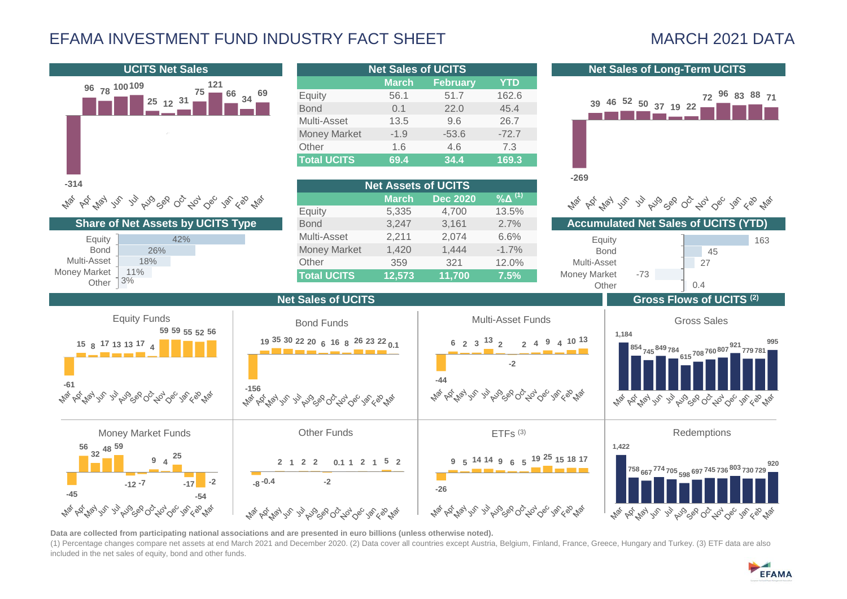# EFAMA INVESTMENT FUND INDUSTRY FACT SHEET MARCH 2021 DATA



**Data are collected from participating national associations and are presented in euro billions (unless otherwise noted).**

(1) Percentage changes compare net assets at end March 2021 and December 2020. (2) Data cover all countries except Austria, Belgium, Finland, France, Greece, Hungary and Turkey. (3) ETF data are also included in the net sales of equity, bond and other funds.